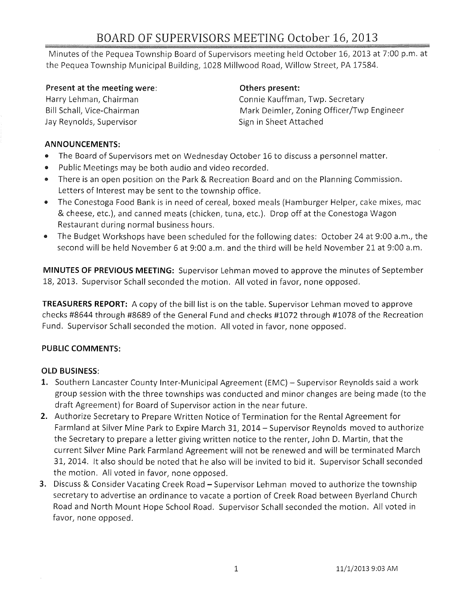# BOARD OF SUPERVISORS MEETING October 16, 2013

Minutes of the Pequea Township Board of Supervisors meeting held October 16, 2013 at 7:00 p.m. at the Pequea Township Municipal Building, 1028 Millwood Road, Willow Street, PA 17584.

#### Present at the meeting were:

Harry Lehman, Chairman Bill Schall, Vice-Chairman Jay Reynolds, Supervisor

#### Others present:

Connie Kauffman, Twp. Secretary Mark Deimler, Zoning Officer/Twp Engineer Sign in Sheet Attached

## **ANNOUNCEMENTS:**

- The Board of Supervisors met on Wednesday October 16 to discuss a personnel matter.
- .. Public Meetings may be both audio and video recorded.
- There is an open position on the Park & Recreation Board and on the Planning Commission. Letters of Interest may be sent to the township office.
- The Conestoga Food Bank is in need of cereal, boxed meals (Hamburger Helper, cake mixes, mac & cheese, etc.), and canned meats (chicken, tuna, etc.). Drop off at the Conestoga Wagon Restaurant during normal business hours.
- The Budget Workshops have been scheduled for the following dates: October 24 at 9:00 a.m., the second will be held November 6 at 9:00 a.m. and the third will be held November 21 at 9:00 a.m.

**MINUTES OF PREVIOUS MEETING:** Supervisor Lehman moved to approve the minutes of September 18, 2013. Supervisor Schall seconded the motion. All voted in favor, none opposed.

**TREASURERS REPORT:** A copy of the bill list is on the table. Supervisor Lehman moved to approve checks #8644 through #8689 of the General Fund and checks #1072 through #1078 of the Recreation Fund. Supervisor Schall seconded the motion. All voted in favor, none opposed.

## **PUBLIC COMMENTS:**

## OLD **BUSINESS:**

- 1. Southern Lancaster County Inter-Municipal Agreement (EMC) Supervisor Reynolds said a work group session with the three townships was conducted and minor changes are being made (to the draft Agreement) for Board of Supervisor action in the near future.
- **2.** Authorize Secretary to Prepare Written Notice of Termination for the Rental Agreement for Farmland at Silver Mine Park to Expire March 31, 2014 - Supervisor Reynolds moved to authorize the Secretary to prepare a letter giving written notice to the renter, John D. Martin, that the current Silver Mine Park Farmland Agreement will not be renewed and will be terminated March 31, 2014. It also should be noted that he also will be invited to bid it. Supervisor Schall seconded the motion. All voted in favor, none opposed.
- **3.** Discuss & Consider Vacating Creek Road Supervisor Lehman moved to authorize the township secretary to advertise an ordinance to vacate a portion of Creek Road between Byerland Church Road and North Mount Hope School Road. Supervisor Schall seconded the motion. All voted in favor, none opposed.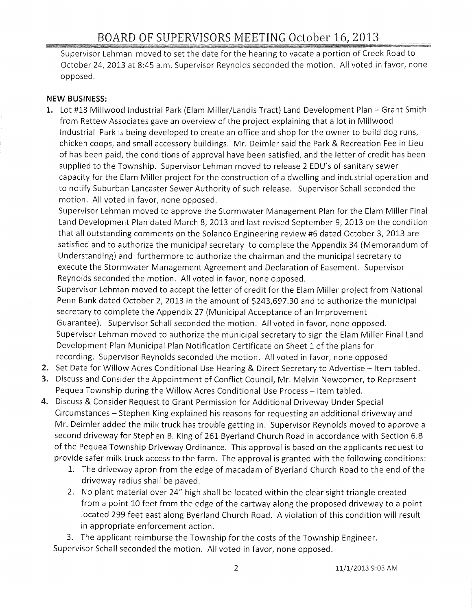Supervisor Lehman moved to set the date for the hearing to vacate a portion of Creek Road to October 24, 2013 at 8:45 a.m. Supervisor Reynolds seconded the motion. All voted in favor, none opposed.

#### **NEW BUSINESS:**

1. Lot #13 Millwood Industrial Park (Elam Miller/Landis Tract) Land Development Plan - Grant Smith from Rettew Associates gave an overview of the project explaining that a lot in Millwood Industrial Park is being developed to create an office and shop for the owner to build dog runs, chicken coops, and small accessory buildings. Mr. Deimler said the Park & Recreation Fee in Lieu of has been paid, the conditions of approval have been satisfied, and the letter of credit has been supplied to the Township. Supervisor Lehman moved to release 2 EDU's of sanitary sewer capacity for the Elam Miller project for the construction of a dwelling and industrial operation and to notify Suburban Lancaster Sewer Authority of such release. Supervisor Schall seconded the motion. All voted in favor, none opposed.

Supervisor Lehman moved to approve the Stormwater Management Plan for the Elam Miller Final Land Development Plan dated March 8, 2013 and last revised September 9, 2013 on the condition that all outstanding comments on the Solanco Engineering review #6 dated October 3, 2013 are satisfied and to authorize the municipal secretary to complete the Appendix 34 (Memorandum of Understanding) and furthermore to authorize the chairman and the municipal secretary to execute the Stormwater Management Agreement and Declaration of Easement. Supervisor Reynolds seconded the motion. All voted in favor, none opposed.

Supervisor Lehman moved to accept the letter of credit for the Elam Miller project from National Penn Bank dated October 2, 2013 in the amount of \$243,697.30 and to authorize the municipal secretary to complete the Appendix 27 (Municipal Acceptance of an Improvement Guarantee). Supervisor Schall seconded the motion. All voted in favor, none opposed. Supervisor Lehman moved to authorize the municipal secretary to sign the Elam Miller Final Land Development Plan Municipal Plan Notification Certificate on Sheet 1 of the plans for recording. Supervisor Reynolds seconded the motion. All voted in favor, none opposed

- 2. Set Date for Willow Acres Conditional Use Hearing & Direct Secretary to Advertise Item tabled.
- 3. Discuss and Consider the Appointment of Conflict Council, Mr. Melvin Newcomer, to Represent Pequea Township during the Willow Acres Conditional Use Process - Item tabled.
- **4.** Discuss & Consider Request to Grant Permission for Additional Driveway Under Special Circumstances - Stephen King explained his reasons for requesting an additional driveway and Mr. Deimler added the milk truck has trouble getting in. Supervisor Reynolds moved to approve a second driveway for Stephen B. King of 261 Byerland Church Road in accordance with Section 6.B of the Pequea Township Driveway Ordinance. This approval is based on the applicants request to provide safer milk truck access to the farm. The approval is granted with the following conditions:
	- 1. The driveway apron from the edge of macadam of Byerland Church Road to the end of the driveway radius shall be paved.
	- 2. No plant material over 24" high shall be located within the clear sight triangle created from a point 10 feet from the edge of the cartway along the proposed driveway to a point located 299 feet east along Byerland Church Road. A violation of this condition will result in appropriate enforcement action.

3. The applicant reimburse the Township for the costs of the Township Engineer. Supervisor Schall seconded the motion. All voted in favor, none opposed.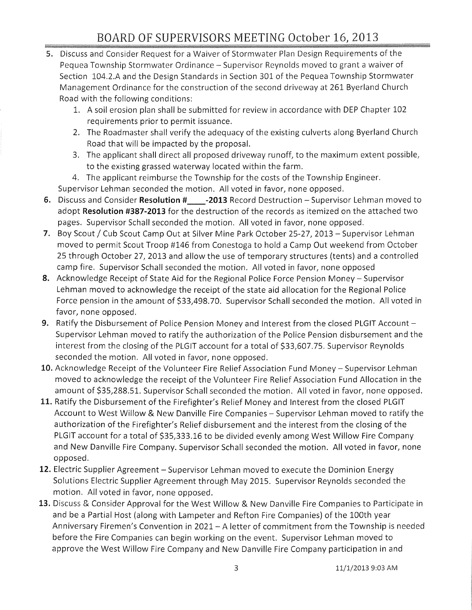# BOARD OF SUPERVISORS MEETING October 16, 2013

- 5. Discuss and Consider Request for a Waiver of Stormwater Plan Design Requirements of the Pequea Township Stormwater Ordinance – Supervisor Reynolds moved to grant a waiver of Section 104.2.A and the Design Standards in Section 301 of the Pequea Township Stormwater Management Ordinance for the construction of the second driveway at 261 Byerland Church Road with the following conditions:
	- 1. A soil erosion plan shall be submitted for review in accordance with DEP Chapter 102 requirements prior to permit issuance.
	- 2. The Roadmaster shall verify the adequacy of the existing culverts along Byerland Church Road that will be impacted by the proposal.
	- 3. The applicant shall direct all proposed driveway runoff, to the maximum extent possible, to the existing grassed waterway located within the farm.
	- 4. The applicant reimburse the Township for the costs of the Township Engineer.

Supervisor Lehman seconded the motion. All voted in favor, none opposed.

- 6. Discuss and Consider **Resolution** # \_\_ -2013 Record Destruction Supervisor Lehman moved to adopt **Resolution #387-2013** for the destruction of the records as itemized on the attached two pages. Supervisor Schall seconded the motion. All voted in favor, none opposed.
- 7. Boy Scout / Cub Scout Camp Out at Silver Mine Park October 25-27, 2013 Supervisor Lehman moved to permit Scout Troop #146 from Conestoga to hold a Camp Out weekend from October 25 through October 27, 2013 and allow the use of temporary structures (tents) and a controlled camp fire. Supervisor Schall seconded the motion. All voted in favor, none opposed
- 8. Acknowledge Receipt of State Aid for the Regional Police Force Pension Money Supervisor Lehman moved to acknowledge the receipt of the state aid allocation for the Regional Police Force pension in the amount of \$33,498.70. Supervisor Schall seconded the motion. All voted in favor, none opposed.
- 9. Ratify the Disbursement of Police Pension Money and Interest from the closed PLGIT Account -Supervisor Lehman moved to ratify the authorization of the Police Pension disbursement and the interest from the closing of the PLGIT account for a total of \$33,607.75. Supervisor Reynolds seconded the motion. All voted in favor, none opposed.
- 10. Acknowledge Receipt of the Volunteer Fire Relief Association Fund Money Supervisor Lehman moved to acknowledge the receipt of the Volunteer Fire Relief Association Fund Allocation in the amount of \$35,288.51. Supervisor Schall seconded the motion. All voted in favor, none opposed.
- 11. Ratify the Disbursement of the Firefighter's Relief Money and Interest from the closed PLGIT Account to West Willow & New Danville Fire Companies - Supervisor Lehman moved to ratify the authorization of the Firefighter's Relief disbursement and the interest from the closing of the PLGIT account for a total of \$35,333.16 to be divided evenly among West Willow Fire Company and New Danville Fire Company. Supervisor Schall seconded the motion. All voted in favor, none opposed.
- 12. Electric Supplier Agreement Supervisor Lehman moved to execute the Dominion Energy Solutions Electric Supplier Agreement through May 2015. Supervisor Reynolds seconded the motion. All voted in favor, none opposed.
- 13. Discuss & Consider Approval for the West Willow & New Danville Fire Companies to Participate in and be a Partial Host (along with Lampeter and Refton Fire Companies) of the 100th year Anniversary Firemen's Convention in 2021- A letter of commitment from the Township is needed before the Fire Companies can begin working on the event. Supervisor Lehman moved to approve the West Willow Fire Company and New Danville Fire Company participation in and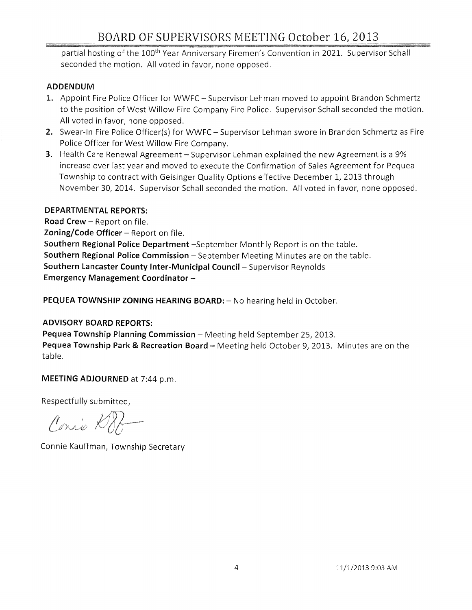# BOARD OF SUPERVISORS MEETING October 16, 2013

partial hosting of the 100<sup>th</sup> Year Anniversary Firemen's Convention in 2021. Supervisor Schall seconded the motion. All voted in favor, none opposed.

#### ADDENDUM

- 1. Appoint Fire Police Officer for WWFC Supervisor Lehman moved to appoint Brandon Schmertz to the position of West Willow Fire Company Fire Police. Supervisor Schall seconded the motion. All voted in favor, none opposed.
- 2. Swear-In Fire Police Officer(s) for WWFC Supervisor Lehman swore in Brandon Schmertz as Fire Police Officer for West Willow Fire Company.
- **3.** Health Care Renewal Agreement Supervisor Lehman explained the new Agreement is a 9% increase over last year and moved to execute the Confirmation of Sales Agreement for Pequea Township to contract with Geisinger Quality Options effective December 1, 2013 through November 30, 2014. Supervisor Schall seconded the motion. All voted in favor, none opposed.

#### DEPARTMENTAL REPORTS:

Road Crew - Report on file.  $Z$ oning/Code Officer – Report on file. Southern Regional Police Department -September Monthly Report is on the table. Southern Regional Police Commission - September Meeting Minutes are on the table. Southern lancaster County Inter-Municipal Council- Supervisor Reynolds Emergency Management Coordinator -

PEQUEA TOWNSHIP ZONING HEARING BOARD: - No hearing held in October.

#### ADVISORY BOARD REPORTS:

Pequea Township Planning Commission - Meeting held September 25, 2013. Pequea Township Park & Recreation Board - Meeting held October 9, 2013. Minutes are on the table.

MEETING ADJOURNED at 7:44 p.m.

Respectfully submitted,

Conrio DBA

Connie Kauffman, Township Secretary